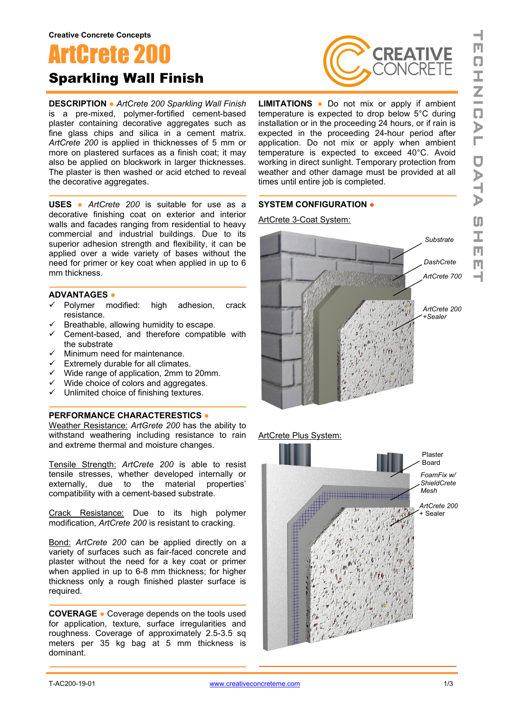# ArtCrete 200 Sparkling Wall Finish

**DESCRIPTION ●** *ArtCrete 200 Sparkling Wall Finish* is a pre-mixed, polymer-fortified cement-based plaster containing decorative aggregates such as fine glass chips and silica in a cement matrix. *ArtCrete 200* is applied in thicknesses of 5 mm or more on plastered surfaces as a finish coat; it may also be applied on blockwork in larger thicknesses. The plaster is then washed or acid etched to reveal the decorative aggregates.

**USES ●** *ArtCrete 200* is suitable for use as a decorative finishing coat on exterior and interior walls and facades ranging from residential to heavy commercial and industrial buildings. Due to its superior adhesion strength and flexibility, it can be applied over a wide variety of bases without the need for primer or key coat when applied in up to 6 mm thickness.

#### **ADVANTAGES ●**

- $\checkmark$  Polymer modified: high adhesion, crack resistance.
- $\checkmark$  Breathable, allowing humidity to escape.
- $\checkmark$  Cement-based, and therefore compatible with the substrate
- $\checkmark$  Minimum need for maintenance.
- $\checkmark$  Extremely durable for all climates.
- $\checkmark$  Wide range of application, 2mm to 20mm.
- $\checkmark$  Wide choice of colors and aggregates.
- $\checkmark$  Unlimited choice of finishing textures.

### **PERFORMANCE CHARACTERESTICS ●**

Weather Resistance: *ArtGrete 200* has the ability to withstand weathering including resistance to rain and extreme thermal and moisture changes.

Tensile Strength: *ArtCrete 200* is able to resist tensile stresses, whether developed internally or externally, due to the material properties' compatibility with a cement-based substrate.

Crack Resistance: Due to its high polymer modification, *ArtCrete 200* is resistant to cracking.

Bond: *ArtCrete 200* can be applied directly on a variety of surfaces such as fair-faced concrete and plaster without the need for a key coat or primer when applied in up to 6-8 mm thickness; for higher thickness only a rough finished plaster surface is required.

**COVERAGE ●** Coverage depends on the tools used for application, texture, surface irregularities and roughness. Coverage of approximately 2.5-3.5 sq meters per 35 kg bag at 5 mm thickness is dominant.



**LIMITATIONS ●** Do not mix or apply if ambient temperature is expected to drop below 5°C during installation or in the proceeding 24 hours, or if rain is expected in the proceeding 24-hour period after application. Do not mix or apply when ambient temperature is expected to exceed 40°C. Avoid working in direct sunlight. Temporary protection from weather and other damage must be provided at all times until entire job is completed.

### **SYSTEM CONFIGURATION ●**

ArtCrete 3-Coat System:



ArtCrete Plus System:

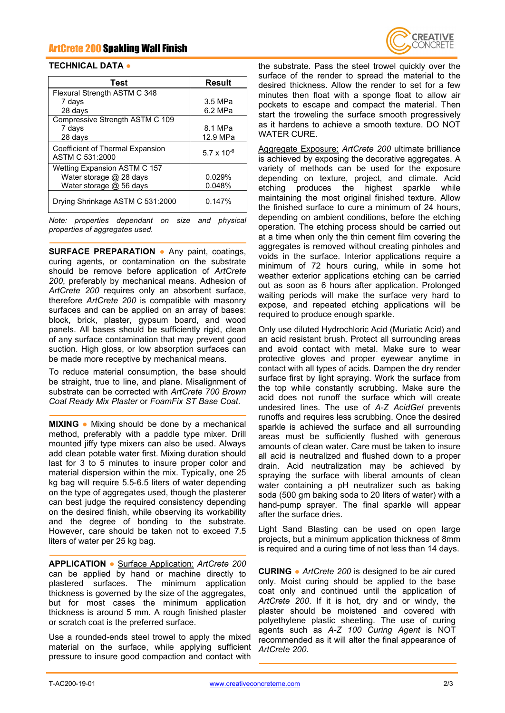## ArtCrete 200 Spakling Wall Finish



### **TECHNICAL DATA ●**

| Test                                                | <b>Result</b> |
|-----------------------------------------------------|---------------|
| Flexural Strength ASTM C 348                        |               |
| 7 days                                              | 3.5 MPa       |
| 28 days                                             | 6.2 MPa       |
| Compressive Strength ASTM C 109                     |               |
| 7 days                                              | 8.1 MPa       |
| 28 days                                             | 12.9 MPa      |
| Coefficient of Thermal Expansion<br>ASTM C 531:2000 | 5.7 x 10 $-6$ |
| Wetting Expansion ASTM C 157                        |               |
| Water storage @ 28 days                             | 0.029%        |
| Water storage @ 56 days                             | 0.048%        |
| Drying Shrinkage ASTM C 531:2000                    | 0.147%        |

*Note: properties dependant on size and physical properties of aggregates used.*

**SURFACE PREPARATION ●** Any paint, coatings, curing agents, or contamination on the substrate should be remove before application of *ArtCrete 200*, preferably by mechanical means. Adhesion of *ArtCrete 200* requires only an absorbent surface, therefore *ArtCrete 200* is compatible with masonry surfaces and can be applied on an array of bases: block, brick, plaster, gypsum board, and wood panels. All bases should be sufficiently rigid, clean of any surface contamination that may prevent good suction. High gloss, or low absorption surfaces can be made more receptive by mechanical means.

To reduce material consumption, the base should be straight, true to line, and plane. Misalignment of substrate can be corrected with *ArtCrete 700 Brown Coat Ready Mix Plaster* or *FoamFix ST Base Coat*.

**MIXING ●** Mixing should be done by a mechanical method, preferably with a paddle type mixer. Drill mounted jiffy type mixers can also be used. Always add clean potable water first. Mixing duration should last for 3 to 5 minutes to insure proper color and material dispersion within the mix. Typically, one 25 kg bag will require 5.5-6.5 liters of water depending on the type of aggregates used, though the plasterer can best judge the required consistency depending on the desired finish, while observing its workability and the degree of bonding to the substrate. However, care should be taken not to exceed 7.5 liters of water per 25 kg bag.

**APPLICATION ●** Surface Application: *ArtCrete 200* can be applied by hand or machine directly to plastered surfaces. The minimum application thickness is governed by the size of the aggregates, but for most cases the minimum application thickness is around 5 mm. A rough finished plaster or scratch coat is the preferred surface.

Use a rounded-ends steel trowel to apply the mixed material on the surface, while applying sufficient pressure to insure good compaction and contact with

the substrate. Pass the steel trowel quickly over the surface of the render to spread the material to the desired thickness. Allow the render to set for a few minutes then float with a sponge float to allow air pockets to escape and compact the material. Then start the troweling the surface smooth progressively as it hardens to achieve a smooth texture. DO NOT WATER CURE.

Aggregate Exposure: *ArtCrete 200* ultimate brilliance is achieved by exposing the decorative aggregates. A variety of methods can be used for the exposure depending on texture, project, and climate. Acid etching produces the highest sparkle while maintaining the most original finished texture. Allow the finished surface to cure a minimum of 24 hours, depending on ambient conditions, before the etching operation. The etching process should be carried out at a time when only the thin cement film covering the aggregates is removed without creating pinholes and voids in the surface. Interior applications require a minimum of 72 hours curing, while in some hot weather exterior applications etching can be carried out as soon as 6 hours after application. Prolonged waiting periods will make the surface very hard to expose, and repeated etching applications will be required to produce enough sparkle.

Only use diluted Hydrochloric Acid (Muriatic Acid) and an acid resistant brush. Protect all surrounding areas and avoid contact with metal. Make sure to wear protective gloves and proper eyewear anytime in contact with all types of acids. Dampen the dry render surface first by light spraying. Work the surface from the top while constantly scrubbing. Make sure the acid does not runoff the surface which will create undesired lines. The use of *A-Z AcidGel* prevents runoffs and requires less scrubbing. Once the desired sparkle is achieved the surface and all surrounding areas must be sufficiently flushed with generous amounts of clean water. Care must be taken to insure all acid is neutralized and flushed down to a proper drain. Acid neutralization may be achieved by spraying the surface with liberal amounts of clean water containing a pH neutralizer such as baking soda (500 gm baking soda to 20 liters of water) with a hand-pump sprayer. The final sparkle will appear after the surface dries.

Light Sand Blasting can be used on open large projects, but a minimum application thickness of 8mm is required and a curing time of not less than 14 days.

**CURING ●** *ArtCrete 200* is designed to be air cured only. Moist curing should be applied to the base coat only and continued until the application of *ArtCrete 200*. If it is hot, dry and or windy, the plaster should be moistened and covered with polyethylene plastic sheeting. The use of curing agents such as *A-Z 100 Curing Agent* is NOT recommended as it will alter the final appearance of *ArtCrete 200*.